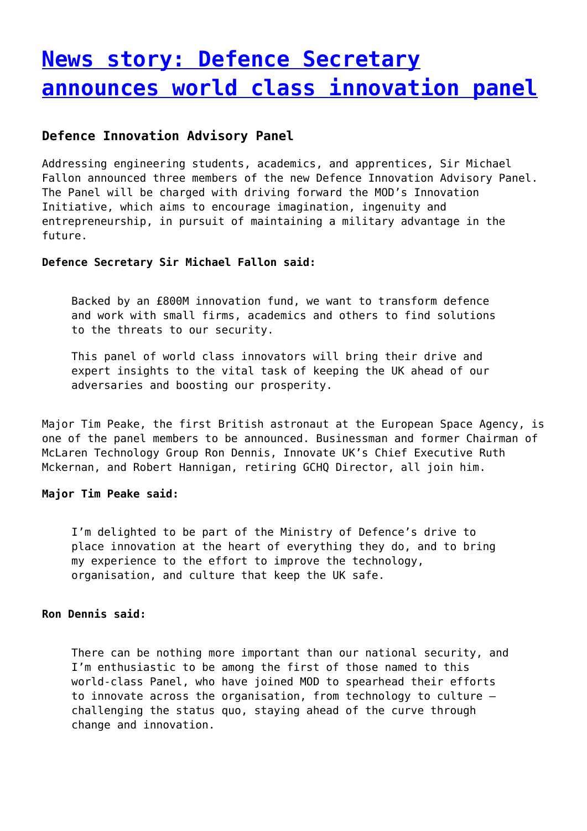# **[News story: Defence Secretary](http://www.government-world.com/news-story-defence-secretary-announces-world-class-innovation-panel/) [announces world class innovation panel](http://www.government-world.com/news-story-defence-secretary-announces-world-class-innovation-panel/)**

## **Defence Innovation Advisory Panel**

Addressing engineering students, academics, and apprentices, Sir Michael Fallon announced three members of the new Defence Innovation Advisory Panel. The Panel will be charged with driving forward the MOD's Innovation Initiative, which aims to encourage imagination, ingenuity and entrepreneurship, in pursuit of maintaining a military advantage in the future.

#### **Defence Secretary Sir Michael Fallon said:**

Backed by an £800M innovation fund, we want to transform defence and work with small firms, academics and others to find solutions to the threats to our security.

This panel of world class innovators will bring their drive and expert insights to the vital task of keeping the UK ahead of our adversaries and boosting our prosperity.

Major Tim Peake, the first British astronaut at the European Space Agency, is one of the panel members to be announced. Businessman and former Chairman of McLaren Technology Group Ron Dennis, Innovate UK's Chief Executive Ruth Mckernan, and Robert Hannigan, retiring GCHQ Director, all join him.

#### **Major Tim Peake said:**

I'm delighted to be part of the Ministry of Defence's drive to place innovation at the heart of everything they do, and to bring my experience to the effort to improve the technology, organisation, and culture that keep the UK safe.

#### **Ron Dennis said:**

There can be nothing more important than our national security, and I'm enthusiastic to be among the first of those named to this world-class Panel, who have joined MOD to spearhead their efforts to innovate across the organisation, from technology to culture – challenging the status quo, staying ahead of the curve through change and innovation.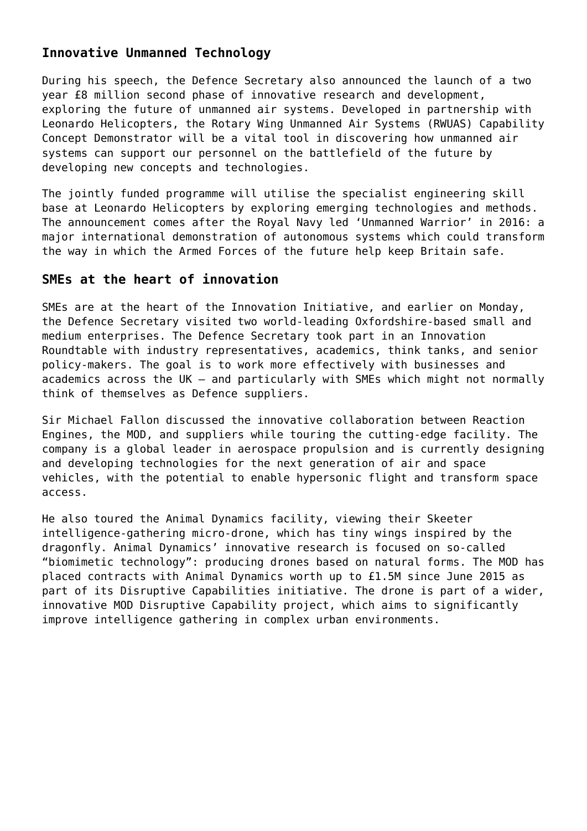# **Innovative Unmanned Technology**

During his speech, the Defence Secretary also announced the launch of a two year £8 million second phase of innovative research and development, exploring the future of unmanned air systems. Developed in partnership with Leonardo Helicopters, the Rotary Wing Unmanned Air Systems (RWUAS) Capability Concept Demonstrator will be a vital tool in discovering how unmanned air systems can support our personnel on the battlefield of the future by developing new concepts and technologies.

The jointly funded programme will utilise the specialist engineering skill base at Leonardo Helicopters by exploring emerging technologies and methods. The announcement comes after the Royal Navy led 'Unmanned Warrior' in 2016: a major international demonstration of autonomous systems which could transform the way in which the Armed Forces of the future help keep Britain safe.

### **SMEs at the heart of innovation**

SMEs are at the heart of the Innovation Initiative, and earlier on Monday, the Defence Secretary visited two world-leading Oxfordshire-based small and medium enterprises. The Defence Secretary took part in an Innovation Roundtable with industry representatives, academics, think tanks, and senior policy-makers. The goal is to work more effectively with businesses and academics across the UK – and particularly with SMEs which might not normally think of themselves as Defence suppliers.

Sir Michael Fallon discussed the innovative collaboration between Reaction Engines, the MOD, and suppliers while touring the cutting-edge facility. The company is a global leader in aerospace propulsion and is currently designing and developing technologies for the next generation of air and space vehicles, with the potential to enable hypersonic flight and transform space access.

He also toured the Animal Dynamics facility, viewing their Skeeter intelligence-gathering micro-drone, which has tiny wings inspired by the dragonfly. Animal Dynamics' innovative research is focused on so-called "biomimetic technology": producing drones based on natural forms. The MOD has placed contracts with Animal Dynamics worth up to £1.5M since June 2015 as part of its Disruptive Capabilities initiative. The drone is part of a wider, innovative MOD Disruptive Capability project, which aims to significantly improve intelligence gathering in complex urban environments.